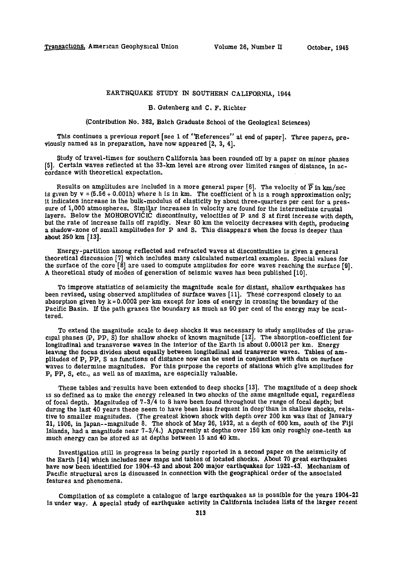# EARTHQUAKE STUDY IN SOUTHERN CALIFORNIA, 1944

### B. Gutenberg and C. F. Richter

(Contribution No. 382, Balch Graduate School of the Geological Sciences)

This continues a previous report [see 1 of "References" at end of paper]. Three papers, previously named as in preparation, have now appeared  $[2, 3, 4]$ ,

Study of travel-times for southern California has been rounded off by a paper on minor phases [5]. Certain waves reflected at the 33-km level are strong over limited ranges of distance, in accordance with theoretical expectation.

Results on amplitudes are included in a more general paper [6]. The velocity of  $\overline{P}$  in km/sec is given by  $v = (5.56 + 0.001h)$  where h is in km. The coefficient of h is a rough approximation only; it indicates increase in the bulk-modulus of elasticity by about three-quarters per cent for a pressure of 1,000 atmospheres. Similar increases in velocity are found for the intermediate crustal layers. Below the MOHOROVICIC discontinuity, velocities of P and S at first increase with depth, but the rate of increase falls off rapidly. Near 80 km the velocity decreases with depth, producing a shadow-zone of small amplitudes for P and S. This disappears when the focus is deeper than about 250 km [13].

Energy-partition among reflected and refracted waves at discontinuities is given a general theoretical discussion [7 ] which includes many calculated numerical examples. Special values for the surface of the core  $\lceil 8 \rceil$  are used to compute amplitudes for core waves reaching the surface  $\lceil 9 \rceil$ . A theoretical study of modes of generation of seismic waves has been published [10] .

To improve statistics of seismicity the magnitude scale for distant, shallow earthquakes has been revised, using observed amplitudes of surface waves [11]. These correspond closely to an absorption given by  $k = 0.0002$  per km except for loss of energy in crossing the boundary of the Pacific Basin. If the path grazes the boundary as much as 90 per cent of the energy may be scattered.

To extend the magnitude scale to deep shocks it was necessary to study amplitudes of the principal phases (P, PP, S) for shallow shocks of known magnitude [12] . The absorption-coefficient for longitudinal and transverse waves in the interior of the Earth is about 0.00012 per km. Energy leaving the focus divides about equally between longitudinal and transverse waves. Tables of amplitudes of P, PP, S as functions of distance now can be used in conjunction with data on surface waves to determine magnitudes. For this purpose the reports of stations which give amplitudes for P, PP, S, etc., as well as of maxima, are especially valuable.

These tables and results have been extended to deep shocks [13]. The magnitude of a deep shock is so defined as to make the energy released in two shocks of the same magnitude equal, regardless of focal depth. Magnitudes of  $7-3/4$  to 8 have been found throughout the range of focal depth; but during the last 40 years these seem to have been less frequent in deep'than in shallow shocks, relative to smaller magnitudes. (The greatest known shock with depth over 200 km was that of January 21, 1906, in Japan--magnitude 8. The shock of May 26, 1932, at a depth of 600 km, south of the Fiji Islands, had a magnitude near 7-3/4. ) Apparently at depths over 150 km only roughly one-tenth as much energy can be stored as at depths between 15 and 40 km.

Investigation still in progress is being partly reported in a second paper on the seismicity of the Earth [14] which includes new maps and tables of located shocks. About 70 great earthquakes have now been identified for 1904-43 and about 200 major earthquakes for 1922-43. Mechanism of Pacific structural arcs is discussed in connection with the geographical order of the associated features and phenomena.

Compilation of as complete a catalogue of large earthquakes as is possible for the years 1904-22 is under way. A special study of earthquake activity in California includes lists of the larger recent